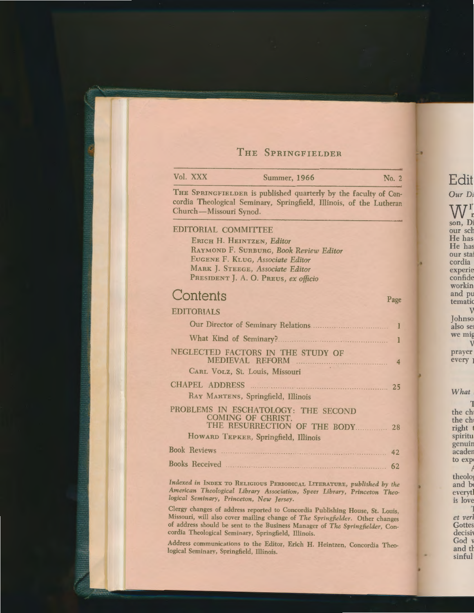## THE SPRINGFIELDER

| Vol. XXX               | <b>Summer, 1966</b>                                                                                                                                                                 | No. 2          |
|------------------------|-------------------------------------------------------------------------------------------------------------------------------------------------------------------------------------|----------------|
| Church-Missouri Synod. | THE SPRINGFIELDER is published quarterly by the faculty of Con-<br>cordia Theological Seminary, Springfield, Illinois, of the Lutheran                                              |                |
| EDITORIAL COMMITTEE    | ERICH H. HEINTZEN, Editor<br>RAYMOND F. SURBURG, Book Review Editor<br>EUGENE F. KLUG, Associate Editor<br>MARK J. STEEGE, Associate Editor<br>PRESIDENT J. A. O. PREUS, ex officio |                |
| Contents               |                                                                                                                                                                                     | Page           |
| <b>EDITORIALS</b>      |                                                                                                                                                                                     |                |
|                        |                                                                                                                                                                                     |                |
|                        | What Kind of Seminary?                                                                                                                                                              |                |
|                        | NEGLECTED FACTORS IN THE STUDY OF<br>CARL VOLZ, St. Louis, Missouri                                                                                                                 | $\overline{4}$ |
|                        |                                                                                                                                                                                     |                |
|                        | RAY MARTENS, Springfield, Illinois                                                                                                                                                  |                |
|                        | PROBLEMS IN ESCHATOLOGY: THE SECOND<br><b>COMING OF CHRIST.</b><br>THE RESURRECTION OF THE BODY 28<br>HOWARD TEPKER, Springfield, Illinois                                          |                |
|                        |                                                                                                                                                                                     | 42             |
|                        |                                                                                                                                                                                     |                |
|                        | Indexed in INDEX TO RELIGIOUS PERIODICAL LITERATURE, published by the<br>American Theological Library Association Snage Library Drivector Three                                     |                |

Clergy changes of address reported to Concordia Publishing House, St. Louis, Missouri, will also cover mailing change of The Springfielder. Other changes of address should be sent to the Business Manager of The Springfielder, Concordia Theological Seminary, Springfield, Illinois.

logical Seminary, Princeton, New Jersey.

Address communications to the Editor, Erich H. Heintzen, Concordia Theological Seminary, Springfield, Illinois.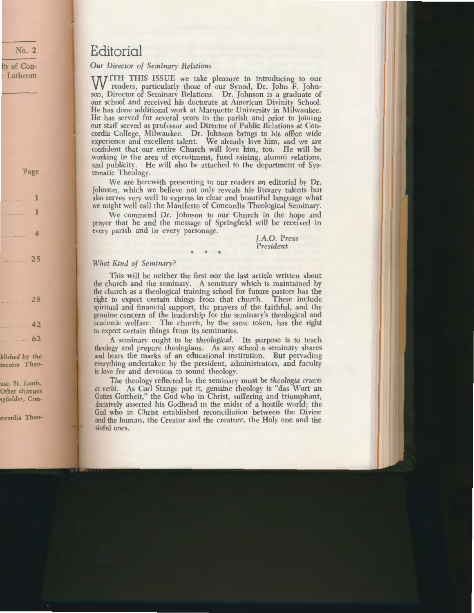# **Editorial**

*Our Director of Seminary Relations* 

WITH THIS ISSUE we take pleasure in introducing to our readers, particularly those of our Synod, Dr. John F. Johnson, Director of Seminary Relations. Dr. Johnson is a graduate of our school and received his doctorate at American Divinity School. He has done additional work at Marquette University in Milwaukee. He has served for several years in the parish and prior to joining our staff served as professor and Director of Public Relations at Concordia College, Milwaukee. Dr. Johnson brings to his office wide experience and excellent talent. We already love him, and we are confident that our entire Church will love him, too. He will be working in the area of recruitment, fund raising, alumni relations, and publicity. He will also be attached to the department of Systematic Theology.

We are herewith presenting to our readers an editorial by Dr. Johnson, which we believe not only reveals his literary talents but also serves very well to express in clear and beautiful language what we might well call the Manifesto of Concordia Theological Seminary.

We commend Dr. Johnson to our Church in the hope and prayer that he and the message of Springfield will be received in every parish and in every parsonage.

\* \* \*

#### *].A.O. Preus President*

### *What Kind of Seminary?*

This will be neither the first nor the last article written about the church and the seminary. A seminary which is maintained by the church as a theological training school for future pastors has the right to expect certain things from that church. These include spiritual and financial support, the prayers of the faithful, and the genuine concern of the leadership for the seminary's theological and academic welfare. The church, by the same token, has the right to expect certain things from its seminaries.

A seminary ought to be *theological.* Its purpose is to teach theology and prepare theologians. As any school a seminary shares and bears the marks of an educational institution. But pervading everything undertaken by the president, administrators, and faculty is love for and devotion to sound theology.

The theology reflected by the seminary must be *theologia crucis et verbi.* As Carl Stange put it, genuine theology is "das Wort an Gottes Gottheit," the God who in Christ, suffering and triumphant, decisively asserted his Godhead in the midst of a hostile world; the God who in Christ established reconciliation between the Divine and the human, the Creator and the creature, the Holy one and the sinful ones.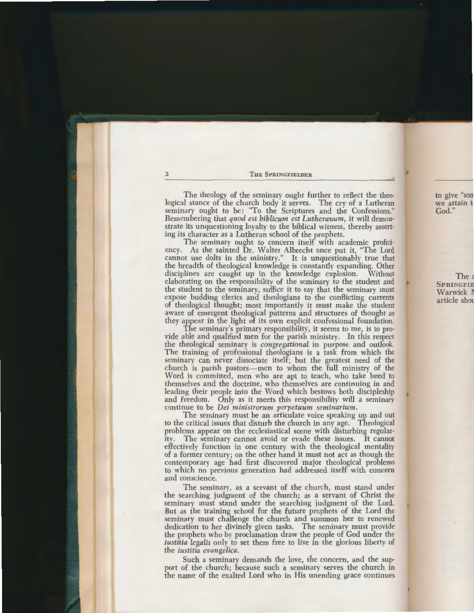The theology of the seminary ought further to reflect the theological stance of the church body it serves. The cry of a Lutheran seminary ought to be: "To the Scriptures and the Confessions." Remembering that *quod est biblicum est Lutheranum,* it will demonstrate its unquestioning loyalty to the biblical witness, thereby asserting its character as a Lutheran school of the prophets.

The seminary ought to concern itself with academic proficiency. As the sainted Dr. Walter Albrecht once put it. "The Lord" As the sainted Dr. Walter Albrecht once put it, "The Lord cannot use dolts in the ministry." It is unquestionably true that the breadth of theological knowledge is constantly expanding. Other disciplines are caught up in the knowledge explosion. Without elaborating on the responsibility of the seminary to the student and the student to the seminary, suffice it to say that the seminary must expose budding clerics and theologians to the conflicting currents of theological thought; most importantly it must make the student aware of emergent theological patterns and structures of thought as they appear in the light of its own explicit confessional foundation.

The seminary's primary responsibility, it seems to me, is to provide able and qualified men for the parish ministry. In this respect the theological seminary is *congregational* in purpose and outlook. The training of professional theologians is a task from which the seminary can never dissociate itself; but the greatest need of the church is parish pastors-men to whom the full ministry of the Word is committed, men who are apt to teach, who take heed to themselves and the doctrine, who themselves are continuing in and leading their people into the Word which bestows both discipleship and freedom. Only as it meets this responsibility will a seminary continue to be *Dei ministrorum perpetuum seminarium.* 

The seminary must be an articulate voice speaking up and out to the critical issues that disturb the church in any age. Theological problems appear on the ecclesiastical scene with disturbing regular-The seminary cannot avoid or evade these issues. It cannot effectively function in one century with the theological mentality of a former century; on the other hand it must not act as though the contemporary age had first discovered major theological problems to which no previous generation had addressed itself with concern and conscience.

The seminary, as a servant of the church, must stand under the searching judgment of the church; as a servant of Christ the seminary must stand under the searching judgment of the Lord. But as the training school for the future prophets of the Lord the seminary must challenge the church and summon her to renewed dedication to her divinely given tasks. The seminary must provide the prophets who by proclamation draw the people of God under the *iustitia legalis* only to set them free to live in the glorious liberty of the *iustitia evangelica.* 

Such a seminary demands the love, the concern, and the support of the church; because such a seminary serves the church in the name of the exalted Lord who in His unending grace continues